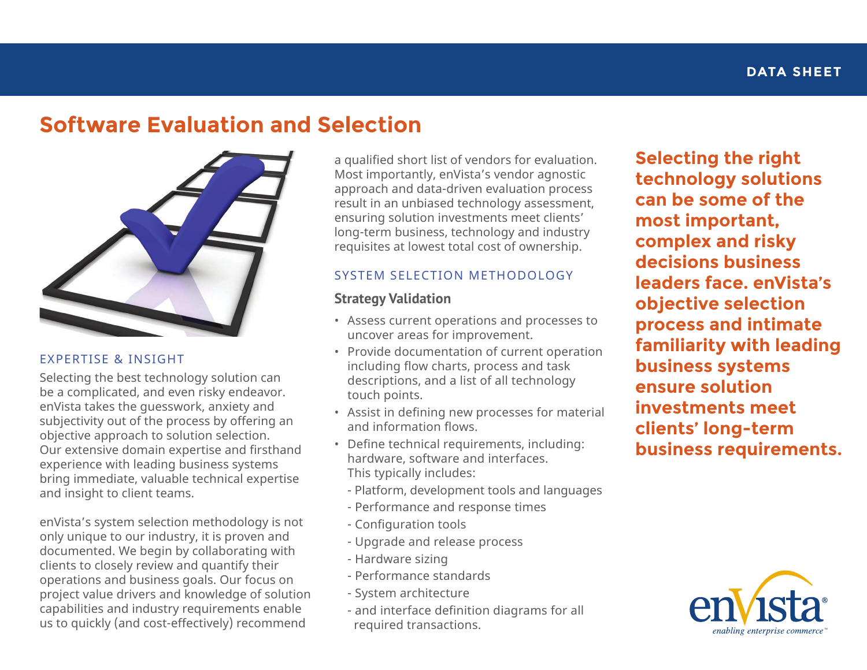# **Software Evaluation and Selection**



#### EXPERTISE & INSIGHT

Selecting the best technology solution can be a complicated, and even risky endeavor. enVista takes the guesswork, anxiety and subjectivity out of the process by offering an objective approach to solution selection. Our extensive domain expertise and firsthand experience with leading business systems bring immediate, valuable technical expertise and insight to client teams.

enVista's system selection methodology is not only unique to our industry, it is proven and documented. We begin by collaborating with clients to closely review and quantify their operations and business goals. Our focus on project value drivers and knowledge of solution capabilities and industry requirements enable us to quickly (and cost-effectively) recommend

a qualified short list of vendors for evaluation. Most importantly, enVista's vendor agnostic approach and data-driven evaluation process result in an unbiased technology assessment, ensuring solution investments meet clients' long-term business, technology and industry requisites at lowest total cost of ownership.

#### SYSTEM SELECTION METHODOLOGY

#### **Strategy Validation**

- Assess current operations and processes to uncover areas for improvement.
- Provide documentation of current operation including flow charts, process and task descriptions, and a list of all technology touch points.
- Assist in defining new processes for material and information flows.
- Define technical requirements, including: hardware, software and interfaces. This typically includes:
	- Platform, development tools and languages
	- Performance and response times
	- Configuration tools
	- Upgrade and release process
	- Hardware sizing
	- Performance standards
	- System architecture
	- and interface definition diagrams for all required transactions.

**Selecting the right technology solutions can be some of the most important, complex and risky decisions business leaders face. enVista's objective selection process and intimate familiarity with leading business systems ensure solution investments meet clients' long-term business requirements.**

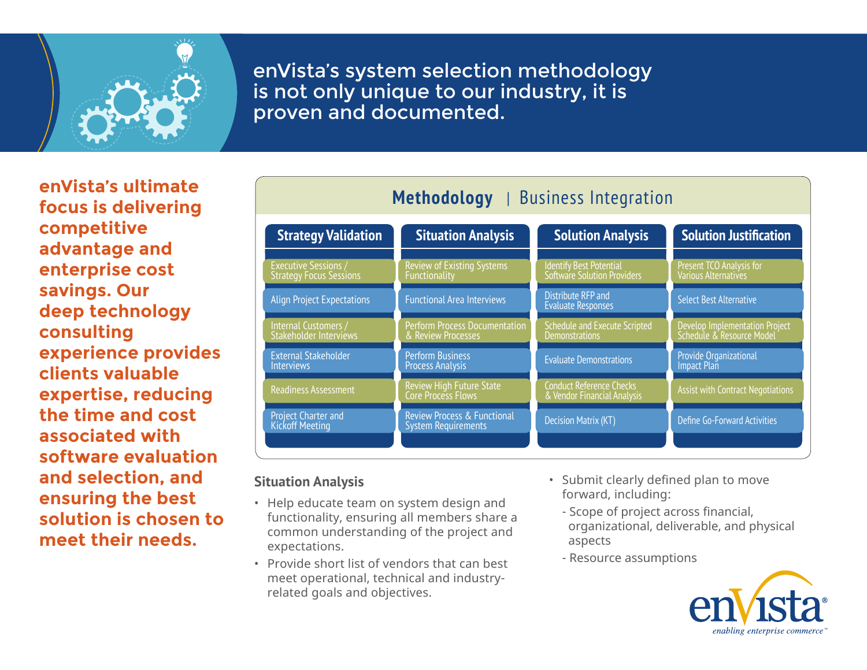

enVista's system selection methodology is not only unique to our industry, it is proven and documented.

**enVista's ultimate focus is delivering competitive advantage and enterprise cost savings. Our deep technology consulting experience provides clients valuable expertise, reducing the time and cost associated with software evaluation and selection, and ensuring the best solution is chosen to meet their needs.**

| . <sub>.</sub><br>Pasinces meequation                         |                                                                      |                                                                |                                                             |
|---------------------------------------------------------------|----------------------------------------------------------------------|----------------------------------------------------------------|-------------------------------------------------------------|
| <b>Strategy Validation</b>                                    | <b>Situation Analysis</b>                                            | <b>Solution Analysis</b>                                       | <b>Solution Justification</b>                               |
| <b>Executive Sessions /</b><br><b>Strategy Focus Sessions</b> | <b>Review of Existing Systems</b><br>Functionality                   | Identify Best Potential<br>Software Solution Providers         | Present TCO Analysis for<br>Various Alternatives            |
| <b>Align Project Expectations</b>                             | <b>Functional Area Interviews</b>                                    | Distribute RFP and<br><b>Evaluate Responses</b>                | <b>Select Best Alternative</b>                              |
| Internal Customers /<br>Stakeholder Interviews                | <b>Perform Process Documentation</b><br>& Review Processes           | <b>Schedule and Execute Scripted</b><br><b>Demonstrations</b>  | Develop Implementation Project<br>Schedule & Resource Model |
| <b>External Stakeholder</b><br><b>Interviews</b>              | <b>Perform Business</b><br><b>Process Analysis</b>                   | <b>Evaluate Demonstrations</b>                                 | Provide Organizational<br><b>Impact Plan</b>                |
| <b>Readiness Assessment</b>                                   | Review High Future State<br>Core Process Flows                       | <b>Conduct Reference Checks</b><br>& Vendor Financial Analysis | <b>Assist with Contract Negotiations</b>                    |
| <b>Project Charter and</b><br><b>Kickoff Meeting</b>          | <b>Review Process &amp; Functional</b><br><b>System Requirements</b> | <b>Decision Matrix (KT)</b>                                    | Define Go-Forward Activities                                |
|                                                               |                                                                      |                                                                |                                                             |

**Methodology** | Business Integration

### **Situation Analysis**

- Help educate team on system design and functionality, ensuring all members share a common understanding of the project and expectations.
- Provide short list of vendors that can best meet operational, technical and industryrelated goals and objectives.
- Submit clearly defined plan to move forward, including:
	- Scope of project across financial, organizational, deliverable, and physical aspects
	- Resource assumptions